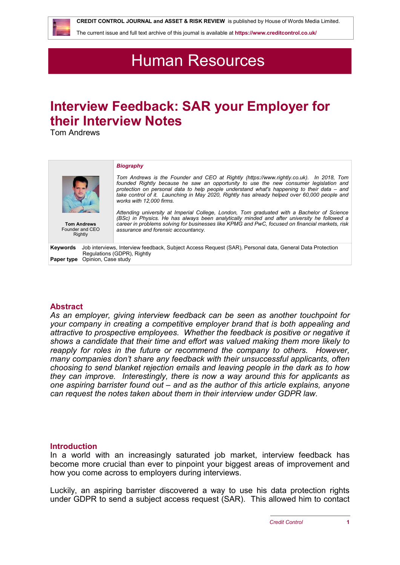

 **CREDIT CONTROL JOURNAL and ASSET & RISK REVIEW** is published by House of Words Media Limited.

The current issue and full text archive of this journal is available at **<https://www.creditcontrol.co.uk/>**

# Human Resources

# **Interview Feedback: SAR your Employer for their Interview Notes**

Tom Andrews

| <b>Tom Andrews</b><br>Founder and CEO<br>Rightly | <b>Biography</b><br>Tom Andrews is the Founder and CEO at Rightly (https://www.rightly.co.uk). In 2018, Tom<br>founded Rightly because he saw an opportunity to use the new consumer legislation and<br>protection on personal data to help people understand what's happening to their data - and<br>take control of it. Launching in May 2020, Rightly has already helped over 60,000 people and<br>works with 12,000 firms.<br>Attending university at Imperial College, London, Tom graduated with a Bachelor of Science<br>(BSc) in Physics. He has always been analytically minded and after university he followed a<br>career in problems solving for businesses like KPMG and PwC, focused on financial markets, risk<br>assurance and forensic accountancy. |
|--------------------------------------------------|-----------------------------------------------------------------------------------------------------------------------------------------------------------------------------------------------------------------------------------------------------------------------------------------------------------------------------------------------------------------------------------------------------------------------------------------------------------------------------------------------------------------------------------------------------------------------------------------------------------------------------------------------------------------------------------------------------------------------------------------------------------------------|
| Keywords<br>Opinion, Case study<br>Paper type    | Job interviews, Interview feedback, Subject Access Request (SAR), Personal data, General Data Protection<br>Regulations (GDPR), Rightly                                                                                                                                                                                                                                                                                                                                                                                                                                                                                                                                                                                                                               |

## **Abstract**

*As an employer, giving interview feedback can be seen as another touchpoint for your company in creating a competitive employer brand that is both appealing and attractive to prospective employees. Whether the feedback is positive or negative it shows a candidate that their time and effort was valued making them more likely to reapply for roles in the future or recommend the company to others. However, many companies don't share any feedback with their unsuccessful applicants, often choosing to send blanket rejection emails and leaving people in the dark as to how they can improve. Interestingly, there is now a way around this for applicants as one aspiring barrister found out – and as the author of this article explains, anyone can request the notes taken about them in their interview under GDPR law.*

#### **Introduction**

In a world with an increasingly saturated job market, interview feedback has become more crucial than ever to pinpoint your biggest areas of improvement and how you come across to employers during interviews.

Luckily, an aspiring barrister discovered a way to use his data protection rights under GDPR to send a subject access request (SAR). This allowed him to contact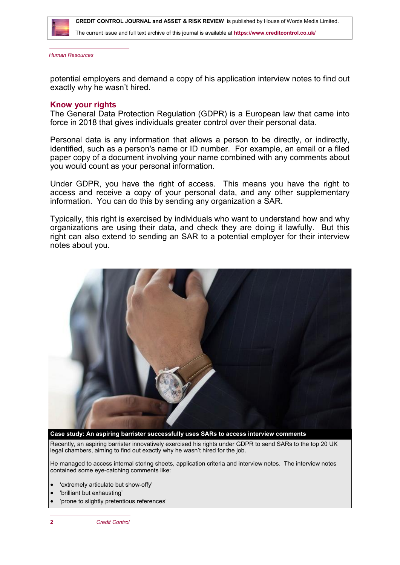

 **CREDIT CONTROL JOURNAL and ASSET & RISK REVIEW** is published by House of Words Media Limited.

The current issue and full text archive of this journal is available at **<https://www.creditcontrol.co.uk/>**

*Human Resources*

potential employers and demand a copy of his application interview notes to find out exactly why he wasn't hired.

#### **Know your rights**

The General Data Protection Regulation (GDPR) is a European law that came into force in 2018 that gives individuals greater control over their personal data.

Personal data is any information that allows a person to be directly, or indirectly, identified, such as a person's name or ID number. For example, an email or a filed paper copy of a document involving your name combined with any comments about you would count as your personal information.

Under GDPR, you have the right of access. This means you have the right to access and receive a copy of your personal data, and any other supplementary information. You can do this by sending any organization a SAR.

Typically, this right is exercised by individuals who want to understand how and why organizations are using their data, and check they are doing it lawfully. But this right can also extend to sending an SAR to a potential employer for their interview notes about you.



Recently, an aspiring barrister innovatively exercised his rights under GDPR to send SARs to the top 20 UK legal chambers, aiming to find out exactly why he wasn't hired for the job.

He managed to access internal storing sheets, application criteria and interview notes. The interview notes contained some eye-catching comments like:

- 'extremely articulate but show-offy'
- 'brilliant but exhausting'
- 'prone to slightly pretentious references'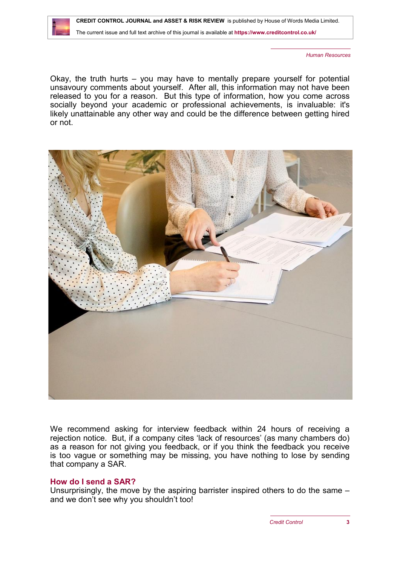*Human Resources*

Okay, the truth hurts – you may have to mentally prepare yourself for potential unsavoury comments about yourself. After all, this information may not have been released to you for a reason. But this type of information, how you come across socially beyond your academic or professional achievements, is invaluable: it's likely unattainable any other way and could be the difference between getting hired or not.



We recommend asking for interview feedback within 24 hours of receiving a rejection notice. But, if a company cites 'lack of resources' (as many chambers do) as a reason for not giving you feedback, or if you think the feedback you receive is too vague or something may be missing, you have nothing to lose by sending that company a SAR.

## **How do I send a SAR?**

Unsurprisingly, the move by the aspiring barrister inspired others to do the same – and we don't see why you shouldn't too!